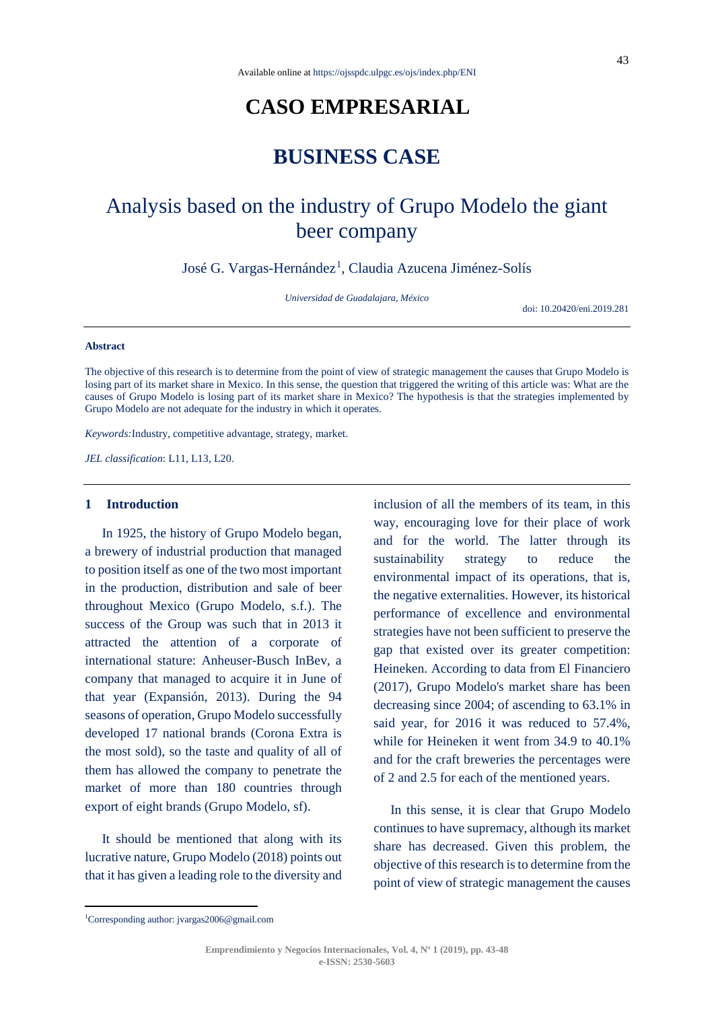# **CASO EMPRESARIAL**

# **BUSINESS CASE**

# Analysis based on the industry of Grupo Modelo the giant beer company

José G. Vargas-Hernández<sup>[1](#page-0-0)</sup>, Claudia Azucena Jiménez-Solís

*Universidad de Guadalajara, México*

doi: 10.20420/eni.2019.281

#### **Abstract**

The objective of this research is to determine from the point of view of strategic management the causes that Grupo Modelo is losing part of its market share in Mexico. In this sense, the question that triggered the writing of this article was: What are the causes of Grupo Modelo is losing part of its market share in Mexico? The hypothesis is that the strategies implemented by Grupo Modelo are not adequate for the industry in which it operates.

*Keywords:*Industry, competitive advantage, strategy, market.

*JEL classification*: L11, L13, L20.

#### **1 Introduction**

In 1925, the history of Grupo Modelo began, a brewery of industrial production that managed to position itself as one of the two most important in the production, distribution and sale of beer throughout Mexico (Grupo Modelo, s.f.). The success of the Group was such that in 2013 it attracted the attention of a corporate of international stature: Anheuser-Busch InBev, a company that managed to acquire it in June of that year (Expansión, 2013). During the 94 seasons of operation, Grupo Modelo successfully developed 17 national brands (Corona Extra is the most sold), so the taste and quality of all of them has allowed the company to penetrate the market of more than 180 countries through export of eight brands (Grupo Modelo, sf).

It should be mentioned that along with its lucrative nature, Grupo Modelo (2018) points out that it has given a leading role to the diversity and inclusion of all the members of its team, in this way, encouraging love for their place of work and for the world. The latter through its sustainability strategy to reduce the environmental impact of its operations, that is, the negative externalities. However, its historical performance of excellence and environmental strategies have not been sufficient to preserve the gap that existed over its greater competition: Heineken. According to data from El Financiero (2017), Grupo Modelo's market share has been decreasing since 2004; of ascending to 63.1% in said year, for 2016 it was reduced to 57.4%, while for Heineken it went from 34.9 to 40.1% and for the craft breweries the percentages were of 2 and 2.5 for each of the mentioned years.

In this sense, it is clear that Grupo Modelo continues to have supremacy, although its market share has decreased. Given this problem, the objective of this research is to determine from the point of view of strategic management the causes

<u>.</u>

<span id="page-0-0"></span><sup>1</sup> Corresponding author: [jvargas2006@gmail.com](mailto:jvargas2006@gmail.com)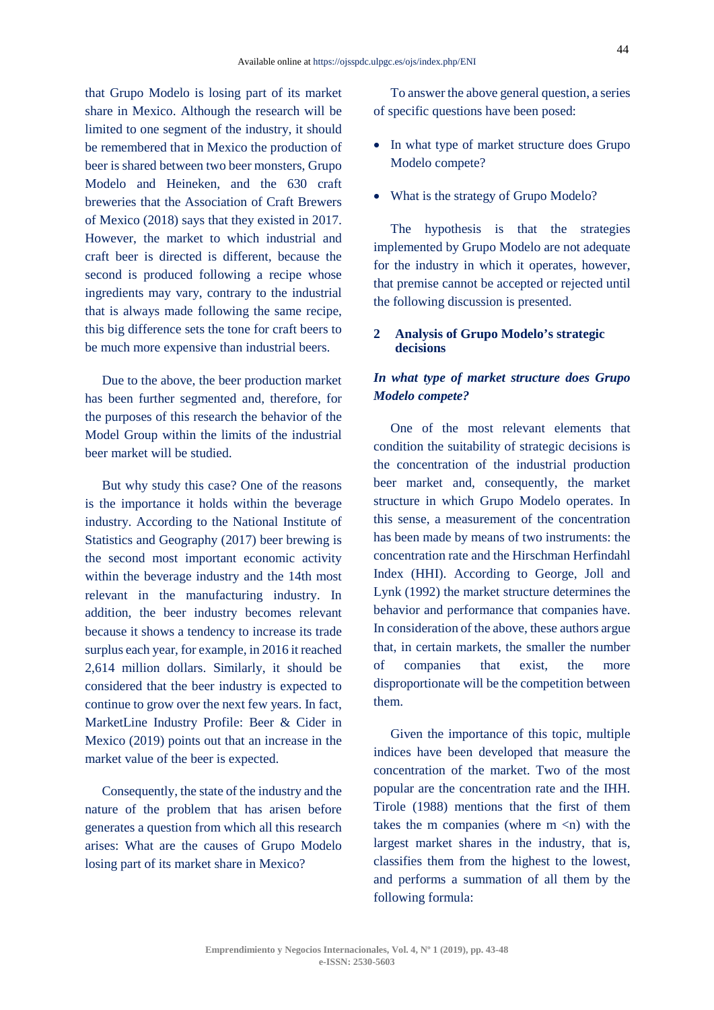that Grupo Modelo is losing part of its market share in Mexico. Although the research will be limited to one segment of the industry, it should be remembered that in Mexico the production of beer is shared between two beer monsters, Grupo Modelo and Heineken, and the 630 craft breweries that the Association of Craft Brewers of Mexico (2018) says that they existed in 2017. However, the market to which industrial and craft beer is directed is different, because the second is produced following a recipe whose ingredients may vary, contrary to the industrial that is always made following the same recipe, this big difference sets the tone for craft beers to be much more expensive than industrial beers.

Due to the above, the beer production market has been further segmented and, therefore, for the purposes of this research the behavior of the Model Group within the limits of the industrial beer market will be studied.

But why study this case? One of the reasons is the importance it holds within the beverage industry. According to the National Institute of Statistics and Geography (2017) beer brewing is the second most important economic activity within the beverage industry and the 14th most relevant in the manufacturing industry. In addition, the beer industry becomes relevant because it shows a tendency to increase its trade surplus each year, for example, in 2016 it reached 2,614 million dollars. Similarly, it should be considered that the beer industry is expected to continue to grow over the next few years. In fact, MarketLine Industry Profile: Beer & Cider in Mexico (2019) points out that an increase in the market value of the beer is expected.

Consequently, the state of the industry and the nature of the problem that has arisen before generates a question from which all this research arises: What are the causes of Grupo Modelo losing part of its market share in Mexico?

To answer the above general question, a series of specific questions have been posed:

- In what type of market structure does Grupo Modelo compete?
- What is the strategy of Grupo Modelo?

The hypothesis is that the strategies implemented by Grupo Modelo are not adequate for the industry in which it operates, however, that premise cannot be accepted or rejected until the following discussion is presented.

## **2 Analysis of Grupo Modelo's strategic decisions**

# *In what type of market structure does Grupo Modelo compete?*

One of the most relevant elements that condition the suitability of strategic decisions is the concentration of the industrial production beer market and, consequently, the market structure in which Grupo Modelo operates. In this sense, a measurement of the concentration has been made by means of two instruments: the concentration rate and the Hirschman Herfindahl Index (HHI). According to George, Joll and Lynk (1992) the market structure determines the behavior and performance that companies have. In consideration of the above, these authors argue that, in certain markets, the smaller the number of companies that exist, the more disproportionate will be the competition between them.

Given the importance of this topic, multiple indices have been developed that measure the concentration of the market. Two of the most popular are the concentration rate and the IHH. Tirole (1988) mentions that the first of them takes the m companies (where  $m < n$ ) with the largest market shares in the industry, that is, classifies them from the highest to the lowest, and performs a summation of all them by the following formula: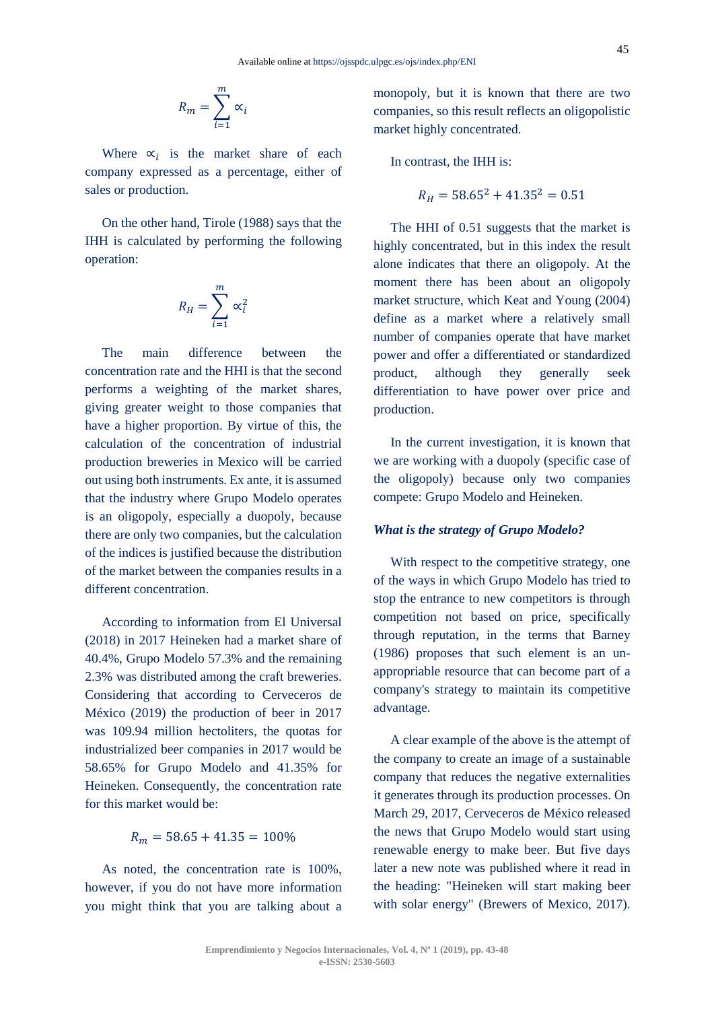$$
R_m = \sum_{i=1}^m \infty_i
$$

Where  $\alpha_i$  is the market share of each company expressed as a percentage, either of sales or production.

On the other hand, Tirole (1988) says that the IHH is calculated by performing the following operation:

$$
R_H = \sum_{i=1}^m \alpha_i^2
$$

The main difference between the concentration rate and the HHI is that the second performs a weighting of the market shares, giving greater weight to those companies that have a higher proportion. By virtue of this, the calculation of the concentration of industrial production breweries in Mexico will be carried out using both instruments. Ex ante, it is assumed that the industry where Grupo Modelo operates is an oligopoly, especially a duopoly, because there are only two companies, but the calculation of the indices is justified because the distribution of the market between the companies results in a different concentration.

According to information from El Universal (2018) in 2017 Heineken had a market share of 40.4%, Grupo Modelo 57.3% and the remaining 2.3% was distributed among the craft breweries. Considering that according to Cerveceros de México (2019) the production of beer in 2017 was 109.94 million hectoliters, the quotas for industrialized beer companies in 2017 would be 58.65% for Grupo Modelo and 41.35% for Heineken. Consequently, the concentration rate for this market would be:

 $R_m = 58.65 + 41.35 = 100\%$ 

As noted, the concentration rate is 100%, however, if you do not have more information you might think that you are talking about a

monopoly, but it is known that there are two companies, so this result reflects an oligopolistic market highly concentrated.

In contrast, the IHH is:

$$
R_H = 58.65^2 + 41.35^2 = 0.51
$$

The HHI of 0.51 suggests that the market is highly concentrated, but in this index the result alone indicates that there an oligopoly. At the moment there has been about an oligopoly market structure, which Keat and Young (2004) define as a market where a relatively small number of companies operate that have market power and offer a differentiated or standardized product, although they generally seek differentiation to have power over price and production.

In the current investigation, it is known that we are working with a duopoly (specific case of the oligopoly) because only two companies compete: Grupo Modelo and Heineken.

## *What is the strategy of Grupo Modelo?*

With respect to the competitive strategy, one of the ways in which Grupo Modelo has tried to stop the entrance to new competitors is through competition not based on price, specifically through reputation, in the terms that Barney (1986) proposes that such element is an unappropriable resource that can become part of a company's strategy to maintain its competitive advantage.

A clear example of the above is the attempt of the company to create an image of a sustainable company that reduces the negative externalities it generates through its production processes. On March 29, 2017, Cerveceros de México released the news that Grupo Modelo would start using renewable energy to make beer. But five days later a new note was published where it read in the heading: "Heineken will start making beer with solar energy" (Brewers of Mexico, 2017).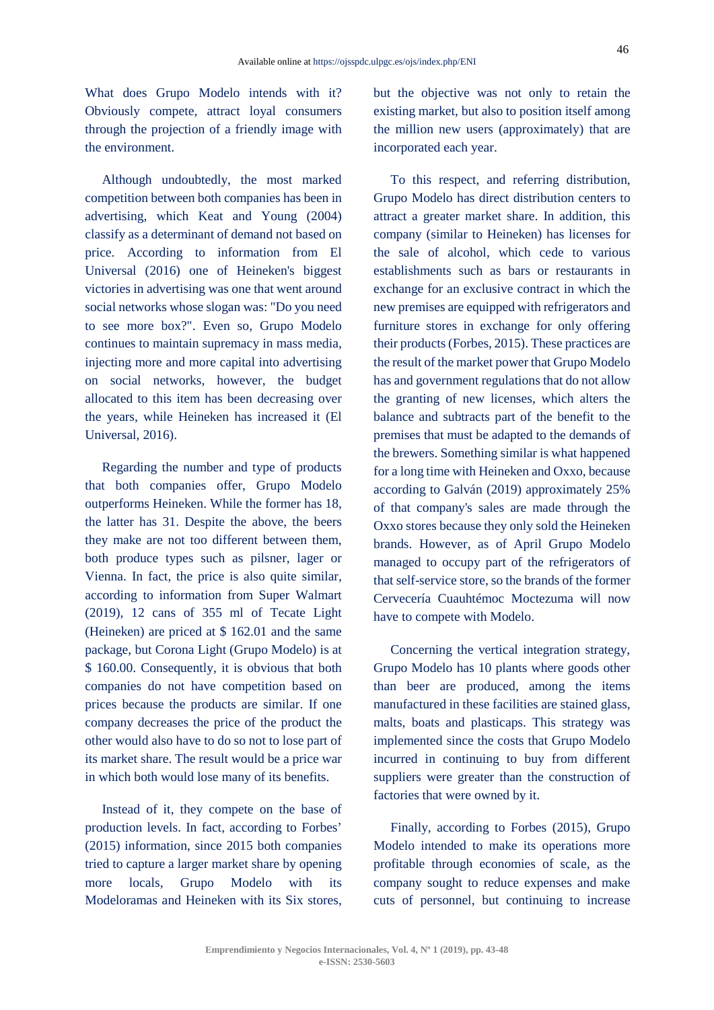What does Grupo Modelo intends with it? Obviously compete, attract loyal consumers through the projection of a friendly image with the environment.

Although undoubtedly, the most marked competition between both companies has been in advertising, which Keat and Young (2004) classify as a determinant of demand not based on price. According to information from El Universal (2016) one of Heineken's biggest victories in advertising was one that went around social networks whose slogan was: "Do you need to see more box?". Even so, Grupo Modelo continues to maintain supremacy in mass media, injecting more and more capital into advertising on social networks, however, the budget allocated to this item has been decreasing over the years, while Heineken has increased it (El Universal, 2016).

Regarding the number and type of products that both companies offer, Grupo Modelo outperforms Heineken. While the former has 18, the latter has 31. Despite the above, the beers they make are not too different between them, both produce types such as pilsner, lager or Vienna. In fact, the price is also quite similar, according to information from Super Walmart (2019), 12 cans of 355 ml of Tecate Light (Heineken) are priced at \$ 162.01 and the same package, but Corona Light (Grupo Modelo) is at \$ 160.00. Consequently, it is obvious that both companies do not have competition based on prices because the products are similar. If one company decreases the price of the product the other would also have to do so not to lose part of its market share. The result would be a price war in which both would lose many of its benefits.

Instead of it, they compete on the base of production levels. In fact, according to Forbes' (2015) information, since 2015 both companies tried to capture a larger market share by opening more locals, Grupo Modelo with Modeloramas and Heineken with its Six stores,

but the objective was not only to retain the existing market, but also to position itself among the million new users (approximately) that are incorporated each year.

To this respect, and referring distribution, Grupo Modelo has direct distribution centers to attract a greater market share. In addition, this company (similar to Heineken) has licenses for the sale of alcohol, which cede to various establishments such as bars or restaurants in exchange for an exclusive contract in which the new premises are equipped with refrigerators and furniture stores in exchange for only offering their products (Forbes, 2015). These practices are the result of the market power that Grupo Modelo has and government regulations that do not allow the granting of new licenses, which alters the balance and subtracts part of the benefit to the premises that must be adapted to the demands of the brewers. Something similar is what happened for a long time with Heineken and Oxxo, because according to Galván (2019) approximately 25% of that company's sales are made through the Oxxo stores because they only sold the Heineken brands. However, as of April Grupo Modelo managed to occupy part of the refrigerators of that self-service store, so the brands of the former Cervecería Cuauhtémoc Moctezuma will now have to compete with Modelo.

Concerning the vertical integration strategy, Grupo Modelo has 10 plants where goods other than beer are produced, among the items manufactured in these facilities are stained glass, malts, boats and plasticaps. This strategy was implemented since the costs that Grupo Modelo incurred in continuing to buy from different suppliers were greater than the construction of factories that were owned by it.

Finally, according to Forbes (2015), Grupo Modelo intended to make its operations more profitable through economies of scale, as the company sought to reduce expenses and make cuts of personnel, but continuing to increase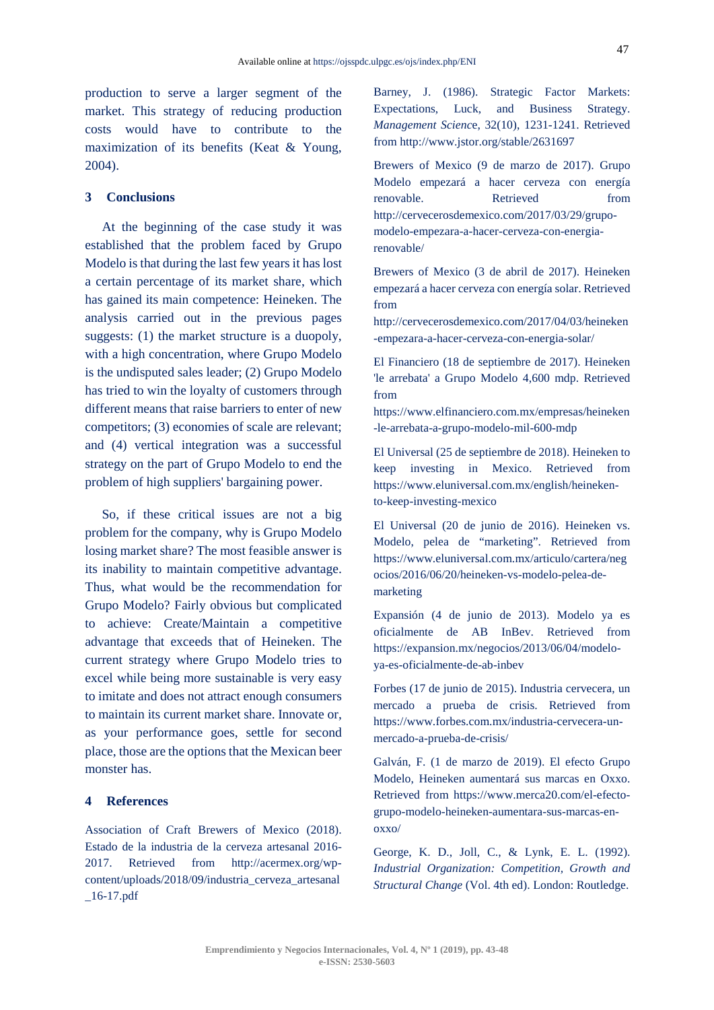production to serve a larger segment of the market. This strategy of reducing production costs would have to contribute to the maximization of its benefits (Keat & Young, 2004).

#### **3 Conclusions**

At the beginning of the case study it was established that the problem faced by Grupo Modelo is that during the last few years it has lost a certain percentage of its market share, which has gained its main competence: Heineken. The analysis carried out in the previous pages suggests: (1) the market structure is a duopoly, with a high concentration, where Grupo Modelo is the undisputed sales leader; (2) Grupo Modelo has tried to win the loyalty of customers through different means that raise barriers to enter of new competitors; (3) economies of scale are relevant; and (4) vertical integration was a successful strategy on the part of Grupo Modelo to end the problem of high suppliers' bargaining power.

So, if these critical issues are not a big problem for the company, why is Grupo Modelo losing market share? The most feasible answer is its inability to maintain competitive advantage. Thus, what would be the recommendation for Grupo Modelo? Fairly obvious but complicated to achieve: Create/Maintain a competitive advantage that exceeds that of Heineken. The current strategy where Grupo Modelo tries to excel while being more sustainable is very easy to imitate and does not attract enough consumers to maintain its current market share. Innovate or, as your performance goes, settle for second place, those are the options that the Mexican beer monster has.

### **4 References**

Association of Craft Brewers of Mexico (2018). Estado de la industria de la cerveza artesanal 2016- 2017. Retrieved from http://acermex.org/wpcontent/uploads/2018/09/industria\_cerveza\_artesanal \_16-17.pdf

Barney, J. (1986). Strategic Factor Markets: Expectations, Luck, and Business Strategy. *Management Scienc*e, 32(10), 1231-1241. Retrieved from http://www.jstor.org/stable/2631697

Brewers of Mexico (9 de marzo de 2017). Grupo Modelo empezará a hacer cerveza con energía renovable. Retrieved from http://cervecerosdemexico.com/2017/03/29/grupomodelo-empezara-a-hacer-cerveza-con-energiarenovable/

Brewers of Mexico (3 de abril de 2017). Heineken empezará a hacer cerveza con energía solar. Retrieved from

http://cervecerosdemexico.com/2017/04/03/heineken -empezara-a-hacer-cerveza-con-energia-solar/

El Financiero (18 de septiembre de 2017). Heineken 'le arrebata' a Grupo Modelo 4,600 mdp. Retrieved from

https://www.elfinanciero.com.mx/empresas/heineken -le-arrebata-a-grupo-modelo-mil-600-mdp

El Universal (25 de septiembre de 2018). Heineken to keep investing in Mexico. Retrieved from https://www.eluniversal.com.mx/english/heinekento-keep-investing-mexico

El Universal (20 de junio de 2016). Heineken vs. Modelo, pelea de "marketing". Retrieved from https://www.eluniversal.com.mx/articulo/cartera/neg ocios/2016/06/20/heineken-vs-modelo-pelea-demarketing

Expansión (4 de junio de 2013). Modelo ya es oficialmente de AB InBev. Retrieved from https://expansion.mx/negocios/2013/06/04/modeloya-es-oficialmente-de-ab-inbev

Forbes (17 de junio de 2015). Industria cervecera, un mercado a prueba de crisis. Retrieved from https://www.forbes.com.mx/industria-cervecera-unmercado-a-prueba-de-crisis/

Galván, F. (1 de marzo de 2019). El efecto Grupo Modelo, Heineken aumentará sus marcas en Oxxo. Retrieved from https://www.merca20.com/el-efectogrupo-modelo-heineken-aumentara-sus-marcas-enoxxo/

George, K. D., Joll, C., & Lynk, E. L. (1992). *Industrial Organization: Competition, Growth and Structural Change* (Vol. 4th ed). London: Routledge.